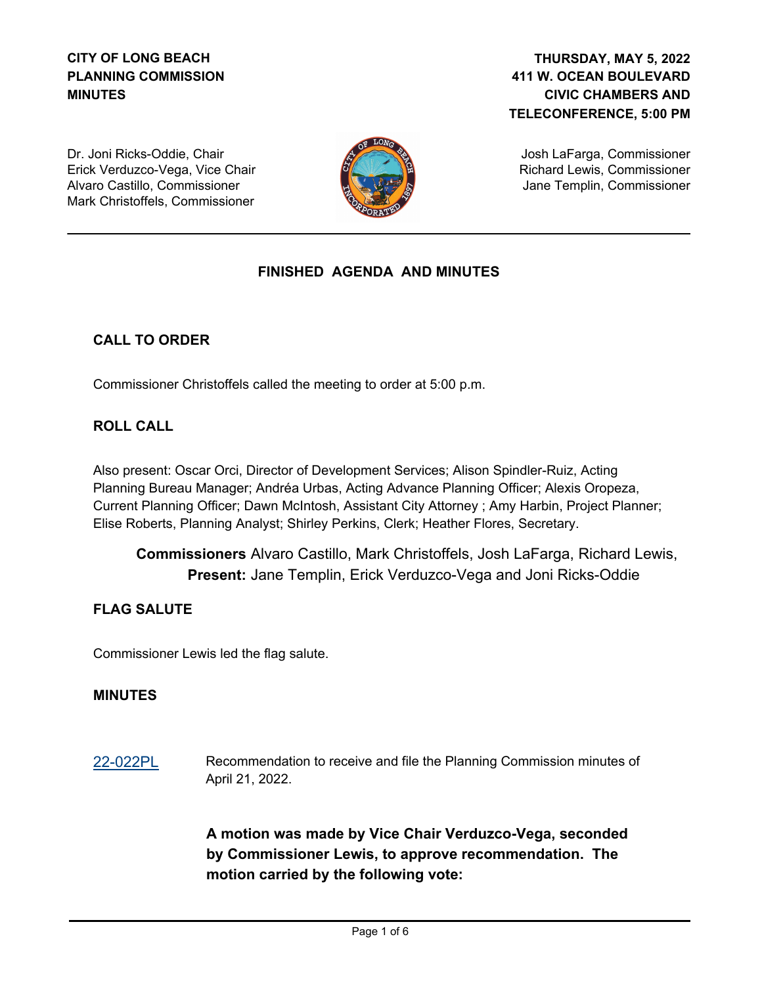# **CITY OF LONG BEACH PLANNING COMMISSION MINUTES**

# **411 W. OCEAN BOULEVARD CIVIC CHAMBERS AND TELECONFERENCE, 5:00 PM THURSDAY, MAY 5, 2022**

Dr. Joni Ricks-Oddie, Chair Erick Verduzco-Vega, Vice Chair Alvaro Castillo, Commissioner Mark Christoffels, Commissioner



Josh LaFarga, Commissioner Richard Lewis, Commissioner Jane Templin, Commissioner

# **FINISHED AGENDA AND MINUTES**

# **CALL TO ORDER**

Commissioner Christoffels called the meeting to order at 5:00 p.m.

## **ROLL CALL**

Also present: Oscar Orci, Director of Development Services; Alison Spindler-Ruiz, Acting Planning Bureau Manager; Andréa Urbas, Acting Advance Planning Officer; Alexis Oropeza, Current Planning Officer; Dawn McIntosh, Assistant City Attorney ; Amy Harbin, Project Planner; Elise Roberts, Planning Analyst; Shirley Perkins, Clerk; Heather Flores, Secretary.

**Commissioners** Alvaro Castillo, Mark Christoffels, Josh LaFarga, Richard Lewis, Present: Jane Templin, Erick Verduzco-Vega and Joni Ricks-Oddie

## **FLAG SALUTE**

Commissioner Lewis led the flag salute.

### **MINUTES**

[22-022PL](http://longbeach.legistar.com/gateway.aspx?M=L&ID=239393) Recommendation to receive and file the Planning Commission minutes of April 21, 2022.

> **A motion was made by Vice Chair Verduzco-Vega, seconded by Commissioner Lewis, to approve recommendation. The motion carried by the following vote:**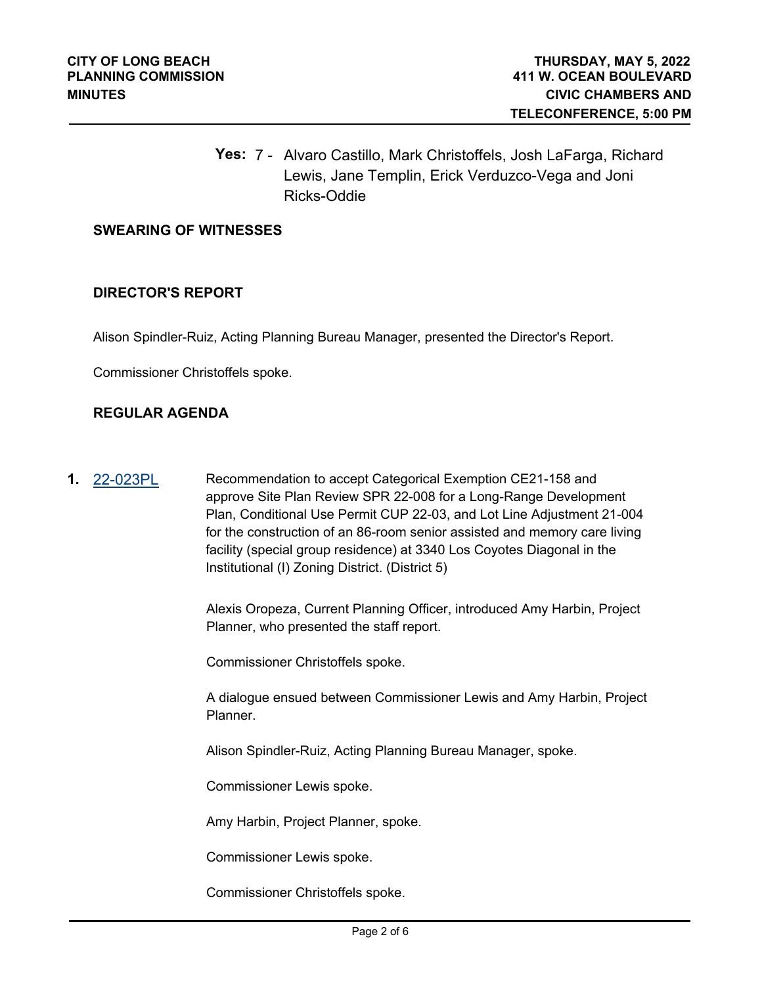**Yes:** 7 - Alvaro Castillo, Mark Christoffels, Josh LaFarga, Richard Lewis, Jane Templin, Erick Verduzco-Vega and Joni Ricks-Oddie

#### **SWEARING OF WITNESSES**

#### **DIRECTOR'S REPORT**

Alison Spindler-Ruiz, Acting Planning Bureau Manager, presented the Director's Report.

Commissioner Christoffels spoke.

## **REGULAR AGENDA**

**1.** [22-023PL](http://longbeach.legistar.com/gateway.aspx?M=L&ID=239394) Recommendation to accept Categorical Exemption CE21-158 and approve Site Plan Review SPR 22-008 for a Long-Range Development Plan, Conditional Use Permit CUP 22-03, and Lot Line Adjustment 21-004 for the construction of an 86-room senior assisted and memory care living facility (special group residence) at 3340 Los Coyotes Diagonal in the Institutional (I) Zoning District. (District 5)

> Alexis Oropeza, Current Planning Officer, introduced Amy Harbin, Project Planner, who presented the staff report.

Commissioner Christoffels spoke.

A dialogue ensued between Commissioner Lewis and Amy Harbin, Project Planner.

Alison Spindler-Ruiz, Acting Planning Bureau Manager, spoke.

Commissioner Lewis spoke.

Amy Harbin, Project Planner, spoke.

Commissioner Lewis spoke.

Commissioner Christoffels spoke.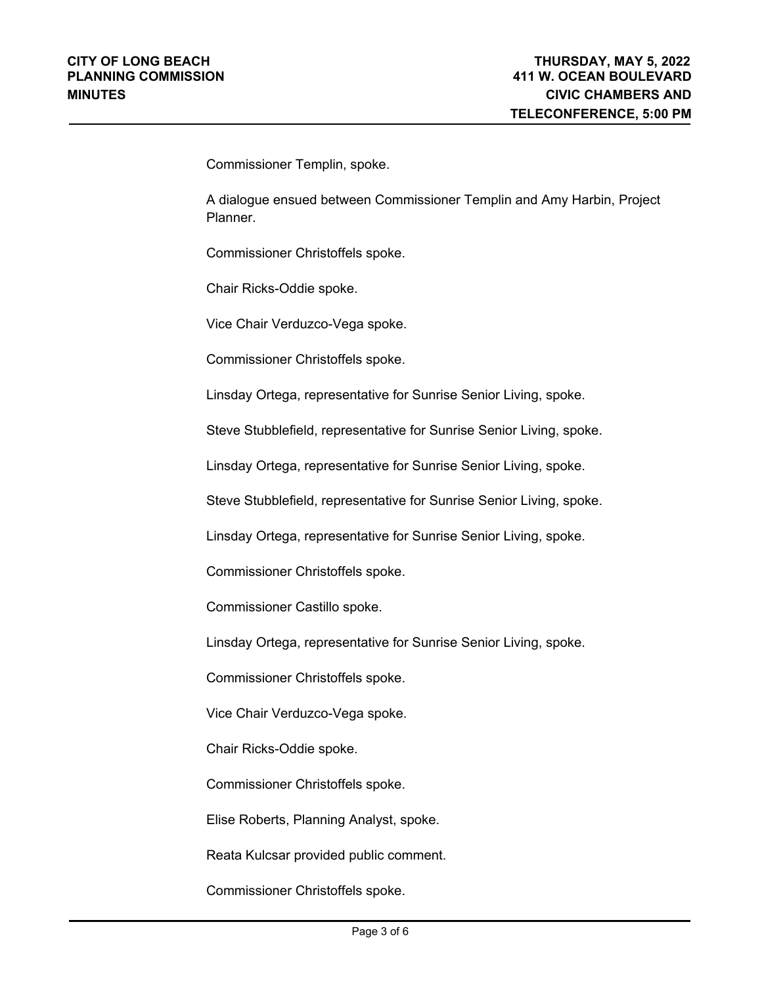Commissioner Templin, spoke.

A dialogue ensued between Commissioner Templin and Amy Harbin, Project Planner.

Commissioner Christoffels spoke.

Chair Ricks-Oddie spoke.

Vice Chair Verduzco-Vega spoke.

Commissioner Christoffels spoke.

Linsday Ortega, representative for Sunrise Senior Living, spoke.

Steve Stubblefield, representative for Sunrise Senior Living, spoke.

Linsday Ortega, representative for Sunrise Senior Living, spoke.

Steve Stubblefield, representative for Sunrise Senior Living, spoke.

Linsday Ortega, representative for Sunrise Senior Living, spoke.

Commissioner Christoffels spoke.

Commissioner Castillo spoke.

Linsday Ortega, representative for Sunrise Senior Living, spoke.

Commissioner Christoffels spoke.

Vice Chair Verduzco-Vega spoke.

Chair Ricks-Oddie spoke.

Commissioner Christoffels spoke.

Elise Roberts, Planning Analyst, spoke.

Reata Kulcsar provided public comment.

Commissioner Christoffels spoke.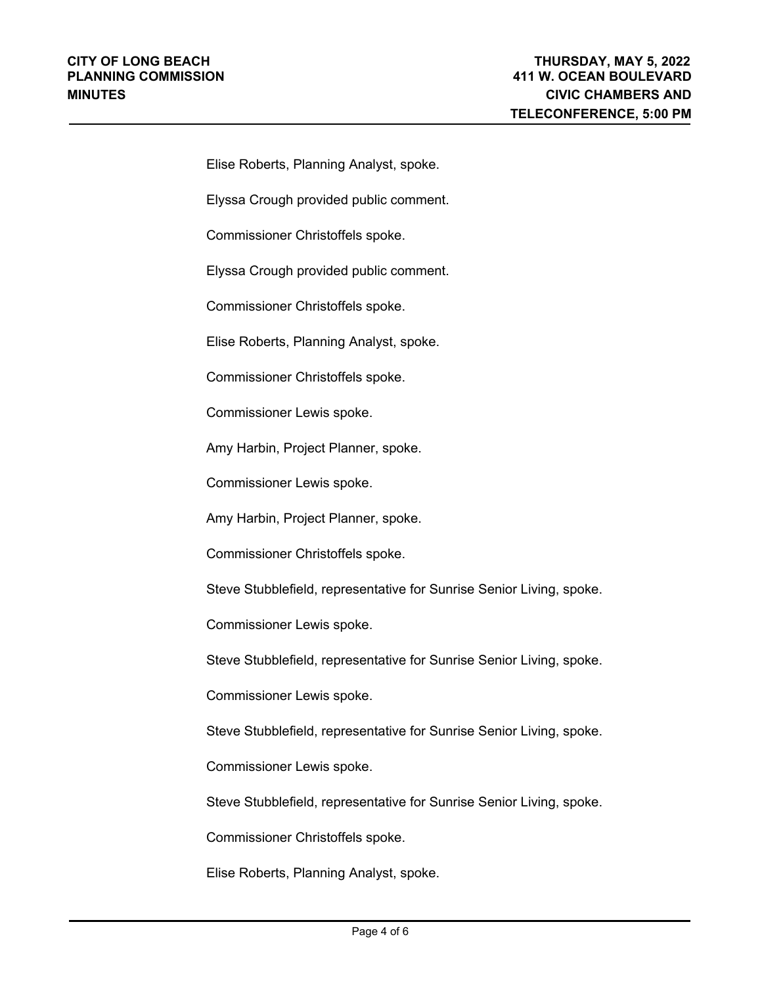Elise Roberts, Planning Analyst, spoke. Elyssa Crough provided public comment. Commissioner Christoffels spoke. Elyssa Crough provided public comment. Commissioner Christoffels spoke. Elise Roberts, Planning Analyst, spoke. Commissioner Christoffels spoke. Commissioner Lewis spoke. Amy Harbin, Project Planner, spoke. Commissioner Lewis spoke. Amy Harbin, Project Planner, spoke. Commissioner Christoffels spoke. Steve Stubblefield, representative for Sunrise Senior Living, spoke. Commissioner Lewis spoke. Steve Stubblefield, representative for Sunrise Senior Living, spoke.

Commissioner Lewis spoke.

Steve Stubblefield, representative for Sunrise Senior Living, spoke.

Commissioner Lewis spoke.

Steve Stubblefield, representative for Sunrise Senior Living, spoke.

Commissioner Christoffels spoke.

Elise Roberts, Planning Analyst, spoke.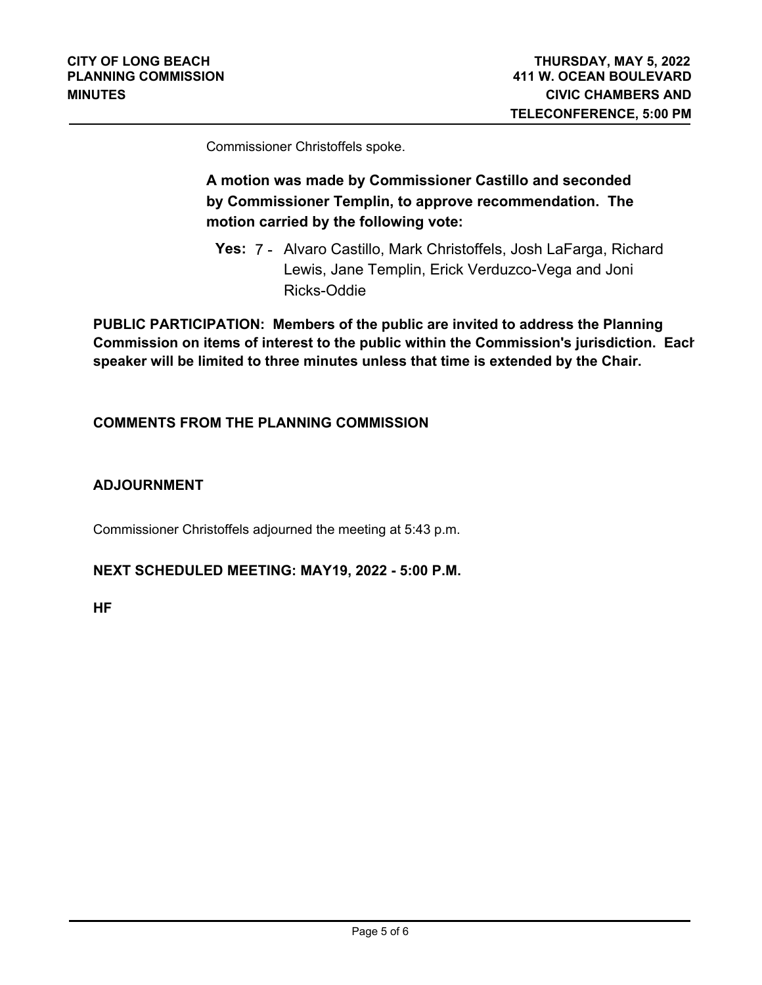Commissioner Christoffels spoke.

# **A motion was made by Commissioner Castillo and seconded by Commissioner Templin, to approve recommendation. The motion carried by the following vote:**

**Yes:** 7 - Alvaro Castillo, Mark Christoffels, Josh LaFarga, Richard Lewis, Jane Templin, Erick Verduzco-Vega and Joni Ricks-Oddie

**PUBLIC PARTICIPATION: Members of the public are invited to address the Planning Commission on items of interest to the public within the Commission's jurisdiction. Each speaker will be limited to three minutes unless that time is extended by the Chair.**

## **COMMENTS FROM THE PLANNING COMMISSION**

## **ADJOURNMENT**

Commissioner Christoffels adjourned the meeting at 5:43 p.m.

### **NEXT SCHEDULED MEETING: MAY19, 2022 - 5:00 P.M.**

**HF**